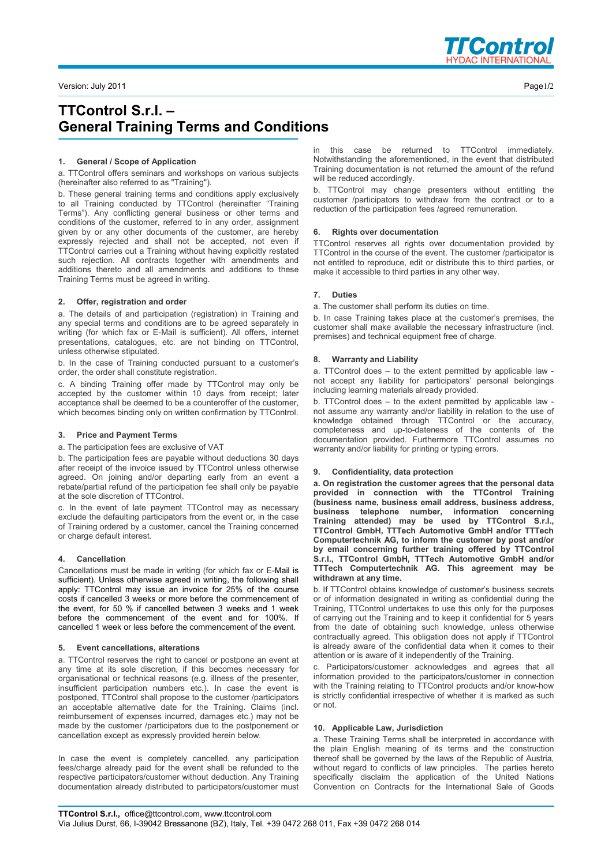

# **TTControl S.r.l. – General Training Terms and Conditions**

## **1. General / Scope of Application**

a. TTControl offers seminars and workshops on various subjects (hereinafter also referred to as "Training").

b. These general training terms and conditions apply exclusively to all Training conducted by TTControl (hereinafter "Training Terms"). Any conflicting general business or other terms and conditions of the customer, referred to in any order, assignment given by or any other documents of the customer, are hereby expressly rejected and shall not be accepted, not even if TTControl carries out a Training without having explicitly restated such rejection. All contracts together with amendments and additions thereto and all amendments and additions to these Training Terms must be agreed in writing.

#### **2. Offer, registration and order**

a. The details of and participation (registration) in Training and any special terms and conditions are to be agreed separately in writing (for which fax or E-Mail is sufficient). All offers, internet presentations, catalogues, etc. are not binding on TTControl, unless otherwise stipulated.

b. In the case of Training conducted pursuant to a customer's order, the order shall constitute registration.

c. A binding Training offer made by TTControl may only be accepted by the customer within 10 days from receipt; later acceptance shall be deemed to be a counteroffer of the customer, which becomes binding only on written confirmation by TTControl.

#### **3. Price and Payment Terms**

a. The participation fees are exclusive of VAT

b. The participation fees are payable without deductions 30 days after receipt of the invoice issued by TTControl unless otherwise agreed. On joining and/or departing early from an event a rebate/partial refund of the participation fee shall only be payable at the sole discretion of TTControl.

c. In the event of late payment TTControl may as necessary exclude the defaulting participators from the event or, in the case of Training ordered by a customer, cancel the Training concerned or charge default interest.

## **4. Cancellation**

Cancellations must be made in writing (for which fax or E-Mail is sufficient). Unless otherwise agreed in writing, the following shall apply: TTControl may issue an invoice for 25% of the course costs if cancelled 3 weeks or more before the commencement of the event, for 50 % if cancelled between 3 weeks and 1 week before the commencement of the event and for 100%. If cancelled 1 week or less before the commencement of the event.

## **5. Event cancellations, alterations**

a. TTControl reserves the right to cancel or postpone an event at any time at its sole discretion, if this becomes necessary for organisational or technical reasons (e.g. illness of the presenter, insufficient participation numbers etc.). In case the event is postponed, TTControl shall propose to the customer /participators an acceptable alternative date for the Training. Claims (incl. reimbursement of expenses incurred, damages etc.) may not be made by the customer /participators due to the postponement or cancellation except as expressly provided herein below.

In case the event is completely cancelled, any participation fees/charge already paid for the event shall be refunded to the respective participators/customer without deduction. Any Training documentation already distributed to participators/customer must

in this case be returned to TTControl immediately. Notwithstanding the aforementioned, in the event that distributed Training documentation is not returned the amount of the refund will be reduced accordingly.

b. TTControl may change presenters without entitling the customer /participators to withdraw from the contract or to a reduction of the participation fees /agreed remuneration.

## **6. Rights over documentation**

TTControl reserves all rights over documentation provided by TTControl in the course of the event. The customer /participator is not entitled to reproduce, edit or distribute this to third parties, or make it accessible to third parties in any other way.

## **7. Duties**

a. The customer shall perform its duties on time.

b. In case Training takes place at the customer's premises, the customer shall make available the necessary infrastructure (incl. premises) and technical equipment free of charge.

#### **8. Warranty and Liability**

a. TTControl does – to the extent permitted by applicable law not accept any liability for participators' personal belongings including learning materials already provided.

b. TTControl does  $-$  to the extent permitted by applicable law  $\overline{a}$ not assume any warranty and/or liability in relation to the use of knowledge obtained through TTControl or the accuracy, completeness and up-to-dateness of the contents of the documentation provided. Furthermore TTControl assumes no warranty and/or liability for printing or typing errors.

#### **9. Confidentiality, data protection**

**a. On registration the customer agrees that the personal data provided in connection with the TTControl Training (business name, business email address, business address, business telephone number, information concerning Training attended) may be used by TTControl S.r.l., TTControl GmbH, TTTech Automotive GmbH and/or TTTech Computertechnik AG, to inform the customer by post and/or by email concerning further training offered by TTControl S.r.l., TTControl GmbH, TTTech Automotive GmbH and/or TTTech Computertechnik AG. This agreement may be withdrawn at any time.** 

b. If TTControl obtains knowledge of customer's business secrets or of information designated in writing as confidential during the Training, TTControl undertakes to use this only for the purposes of carrying out the Training and to keep it confidential for 5 years from the date of obtaining such knowledge, unless otherwise contractually agreed. This obligation does not apply if TTControl is already aware of the confidential data when it comes to their attention or is aware of it independently of the Training.

c. Participators/customer acknowledges and agrees that all information provided to the participators/customer in connection with the Training relating to TTControl products and/or know-how is strictly confidential irrespective of whether it is marked as such or not.

#### **10. Applicable Law, Jurisdiction**

a. These Training Terms shall be interpreted in accordance with the plain English meaning of its terms and the construction thereof shall be governed by the laws of the Republic of Austria, without regard to conflicts of law principles. The parties hereto specifically disclaim the application of the United Nations Convention on Contracts for the International Sale of Goods